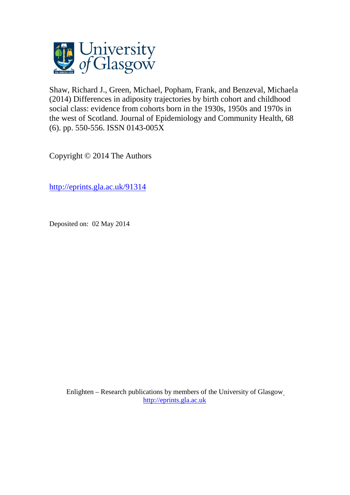

Shaw, Richard J., Green, Michael, Popham, Frank, and Benzeval, Michaela (2014) Differences in adiposity trajectories by birth cohort and childhood social class: evidence from cohorts born in the 1930s, 1950s and 1970s in the west of Scotland. Journal of Epidemiology and Community Health, 68 (6). pp. 550-556. ISSN 0143-005X

Copyright © 2014 The Authors

<http://eprints.gla.ac.uk/91314>

Deposited on: 02 May 2014

Enlighten – Research publications by members of the University of Glasgo[w](http://eprints.gla.ac.uk/) [http://eprints.gla.ac.uk](http://eprints.gla.ac.uk/)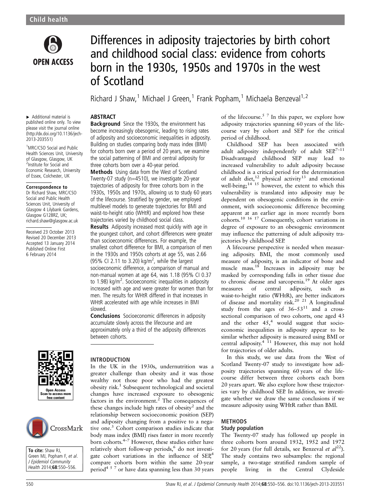

# Differences in adiposity trajectories by birth cohort and childhood social class: evidence from cohorts born in the 1930s, 1950s and 1970s in the west of Scotland

Richard J Shaw,<sup>1</sup> Michael J Green,<sup>1</sup> Frank Popham,<sup>1</sup> Michaela Benzeval<sup>1,2</sup>

#### ABSTRACT **Background** Since the 1930s, the environment has

▸ Additional material is published online only. To view please visit the journal online [\(http://dx.doi.org/10.1136/jech-](http://dx.doi.org/10.1136/jech-2013-203551)[2013-203551\)](http://dx.doi.org/10.1136/jech-2013-203551)

<sup>1</sup>MRC/CSO Social and Public Health Sciences Unit, University of Glasgow, Glasgow, UK 2 Institute for Social and Economic Research, University of Essex, Colchester, UK

#### Correspondence to

Dr Richard Shaw, MRC/CSO Social and Public Health Sciences Unit, University of Glasgow 4 Lilybank Gardens, Glasgow G128RZ, UK; richard.shaw@glasgow.ac.uk

Received 23 October 2013 Revised 20 December 2013 Accepted 13 January 2014 Published Online First 6 February 2014





To cite: Shaw RJ. Green MJ, Popham F, et al. J Epidemiol Community Health 2014;68:550–556.

#### become increasingly obesogenic, leading to rising rates of adiposity and socioeconomic inequalities in adiposity. Building on studies comparing body mass index (BMI) for cohorts born over a period of 20 years, we examine the social patterning of BMI and central adiposity for three cohorts born over a 40-year period.

Methods Using data from the West of Scotland Twenty-07 study (n=4510), we investigate 20-year trajectories of adiposity for three cohorts born in the 1930s, 1950s and 1970s, allowing us to study 60 years of the lifecourse. Stratified by gender, we employed multilevel models to generate trajectories for BMI and waist-to-height ratio (WHtR) and explored how these trajectories varied by childhood social class.

**Results** Adiposity increased most quickly with age in the youngest cohort, and cohort differences were greater than socioeconomic differences. For example, the smallest cohort difference for BMI, a comparison of men in the 1930s and 1950s cohorts at age 55, was 2.66 (95% CI 2.11 to 3.20) kg/m<sup>2</sup>, while the largest socioeconomic difference, a comparison of manual and non-manual women at age 64, was 1.18 (95% CI 0.37 to 1.98) kg/m<sup>2</sup>. Socioeconomic inequalities in adiposity increased with age and were greater for women than for men. The results for WHtR differed in that increases in WHtR accelerated with age while increases in BMI slowed.

Conclusions Socioeconomic differences in adiposity accumulate slowly across the lifecourse and are approximately only a third of the adiposity differences between cohorts.

#### INTRODUCTION

In the UK in the 1930s, undernutrition was a greater challenge than obesity and it was those wealthy not those poor who had the greatest obesity risk.1 Subsequent technological and societal changes have increased exposure to obesogenic factors in the environment. $^{2}$  The consequences of these changes include high rates of obesity<sup>2</sup> and the relationship between socioeconomic position (SEP) and adiposity changing from a positive to a negative one.<sup>3</sup> Cohort comparison studies indicate that body mass index (BMI) rises faster in more recently born cohorts.4–<sup>7</sup> However, these studies either have relatively short follow-up periods,<sup>6</sup> do not investigate cohort variations in the influence of SEP<sub>4</sub> compare cohorts born within the same 20-year period<sup>457</sup> or have data spanning less than 30 years

of the lifecourse.<sup>5 7</sup> In this paper, we explore how adiposity trajectories spanning 60 years of the lifecourse vary by cohort and SEP for the critical period of childhood.

Childhood SEP has been associated with adult adiposity independently of adult  $SEP^{7-11}$ Disadvantaged childhood SEP may lead to increased vulnerability to adult adiposity because childhood is a critical period for the determination of adult diet,<sup>12</sup> physical activity<sup>13</sup> and emotional well-being;<sup>14 15</sup> however, the extent to which this vulnerability is translated into adiposity may be dependent on obesogenic conditions in the environment, with socioeconomic difference becoming apparent at an earlier age in more recently born cohorts.10 16 17 Consequently, cohort variations in degree of exposure to an obesogenic environment may influence the patterning of adult adiposity trajectories by childhood SEP.

A lifecourse perspective is needed when measuring adiposity. BMI, the most commonly used measure of adiposity, is an indicator of bone and muscle mass. $18$  Increases in adiposity may be masked by corresponding falls in other tissue due to chronic disease and sarcopenia.<sup>19</sup> At older ages measures of central adiposity, such as waist-to-height ratio (WHtR), are better indicators of disease and mortality risk.<sup>20</sup> <sup>21</sup> A longitudinal study from the ages of  $36-53^{11}$  and a crosssectional comparison of two cohorts, one aged 43 and the other  $45<sup>4</sup>$  would suggest that socioeconomic inequalities in adiposity appear to be similar whether adiposity is measured using BMI or central adiposity. $4 \overline{11}$  However, this may not hold for trajectories of older adults.

In this study, we use data from the West of Scotland Twenty-07 study to investigate how adiposity trajectories spanning 60 years of the lifecourse differ between three cohorts each born 20 years apart. We also explore how these trajectories vary by childhood SEP. In addition, we investigate whether we draw the same conclusions if we measure adiposity using WHtR rather than BMI.

## METHODS

### Study population

The Twenty-07 study has followed up people in three cohorts born around 1932, 1952 and 1972 for 20 years (for full details, see Benzeval et  $al^{22}$ ). The study contains two subsamples: the regional sample, a two-stage stratified random sample of people living in the Central Clydeside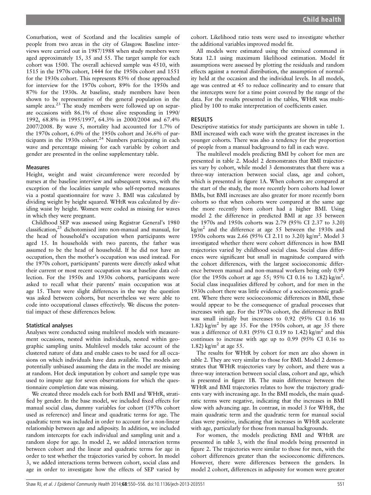Conurbation, west of Scotland and the localities sample of people from two areas in the city of Glasgow. Baseline interviews were carried out in 1987/1988 when study members were aged approximately 15, 35 and 55. The target sample for each cohort was 1500. The overall achieved sample was 4510, with 1515 in the 1970s cohort, 1444 for the 1950s cohort and 1551 for the 1930s cohort. This represents 85% of those approached for interview for the 1970s cohort, 89% for the 1950s and 87% for the 1930s. At baseline, study members have been shown to be representative of the general population in the sample area.<sup>23</sup> The study members were followed up on separate occasions with 86.1% of those alive responding in 1990/ 1992, 68.8% in 1995/1997, 64.3% in 2000/2004 and 67.4% 2007/2008. By wave 5, mortality had accounted for 1.7% of the 1970s cohort, 6.0% of the 1950s cohort and 36.6% of participants in the  $1930s$  cohort.<sup>24</sup> Numbers participating in each wave and percentage missing for each variable by cohort and gender are presented in the online [supplementary table.](http://jech.bmj.com/lookup/suppl/doi:10.1136/jech-2013-203551/-/DC1)

#### Measures

Height, weight and waist circumference were recorded by nurses at the baseline interview and subsequent waves, with the exception of the localities sample who self-reported measures via a postal questionnaire for wave 3. BMI was calculated by dividing weight by height squared. WHtR was calculated by dividing waist by height. Women were coded as missing for waves in which they were pregnant.

Childhood SEP was assessed using Registrar General's 1980 classification,25 dichotomised into non-manual and manual, for the head of household's occupation when participants were aged 15. In households with two parents, the father was assumed to be the head of household. If he did not have an occupation, then the mother's occupation was used instead. For the 1970s cohort, participants' parents were directly asked what their current or most recent occupation was at baseline data collection. For the 1950s and 1930s cohorts, participants were asked to recall what their parents' main occupation was at age 15. There were slight differences in the way the question was asked between cohorts, but nevertheless we were able to code into occupational classes effectively. We discuss the potential impact of these differences below.

#### Statistical analyses

Analyses were conducted using multilevel models with measurement occasions, nested within individuals, nested within geographic sampling units. Multilevel models take account of the clustered nature of data and enable cases to be used for all occasions on which individuals have data available. The models are potentially unbiased assuming the data in the model are missing at random. Hot deck imputation by cohort and sample type was used to impute age for seven observations for which the questionnaire completion date was missing.

We created three models each for both BMI and WHtR, stratified by gender. In the base model, we included fixed effects for manual social class, dummy variables for cohort (1970s cohort used as reference) and linear and quadratic terms for age. The quadratic term was included in order to account for a non-linear relationship between age and adiposity. In addition, we included random intercepts for each individual and sampling unit and a random slope for age. In model 2, we added interaction terms between cohort and the linear and quadratic terms for age in order to test whether the trajectories varied by cohort. In model 3, we added interactions terms between cohort, social class and age in order to investigate how the effects of SEP varied by

cohort. Likelihood ratio tests were used to investigate whether the additional variables improved model fit.

All models were estimated using the xtmixed command in Stata 12.1 using maximum likelihood estimation. Model fit assumptions were assessed by plotting the residuals and random effects against a normal distribution, the assumption of normality held at the occasion and the individual levels. In all models, age was centred at 45 to reduce collinearity and to ensure that the intercepts were for a time point covered by the range of the data. For the results presented in the tables, WHtR was multiplied by 100 to make interpretation of coefficients easier.

#### **RESULTS**

Descriptive statistics for study participants are shown in table 1. BMI increased with each wave with the greatest increases in the younger cohorts. There was also a tendency for the proportion of people from a manual background to fall in each wave.

The multilevel models predicting BMI by cohort for men are presented in table 2. Model 2 demonstrates that BMI trajectories vary by cohort, while model 3 demonstrates that there was a three-way interaction between social class, age and cohort, which is presented in figure 1A. When cohorts are compared at the start of the study, the more recently born cohorts had lower BMIs, but BMI increases are also greater for more recently born cohorts so that when cohorts were compared at the same age the more recently born cohort had a higher BMI. Using model 2 the difference in predicted BMI at age 35 between the 1970s and 1950s cohorts was 2.79 (95% CI 2.37 to 3.20)  $kg/m<sup>2</sup>$  and the difference at age 55 between the 1930s and 1950s cohorts was 2.66 (95% CI 2.11 to 3.20) kg/m<sup>2</sup>. Model 3 investigated whether there were cohort differences in how BMI trajectories varied by childhood social class. Social class differences were significant but small in magnitude compared with the cohort differences, with the largest socioeconomic difference between manual and non-manual workers being only 0.99 (for the 1950s cohort at age 55; 95% CI 0.16 to 1.82) kg/m<sup>2</sup>. Social class inequalities differed by cohort, and for men in the 1930s cohort there was little evidence of a socioeconomic gradient. Where there were socioeconomic differences in BMI, these would appear to be the consequence of gradual processes that increases with age. For the 1970s cohort, the difference in BMI was small initially but increases to 0.92 (95% CI 0.16 to 1.82) kg/m<sup>2</sup> by age 35. For the 1950s cohort, at age 35 there was a difference of 0.81 (95% CI 0.19 to 1.42) kg/m<sup>2</sup> and this continues to increase with age up to 0.99 (95% CI 0.16 to 1.82) kg/m<sup>2</sup> at age 55.

The results for WHtR by cohort for men are also shown in table 2. They are very similar to those for BMI. Model 2 demonstrates that WHtR trajectories vary by cohort, and there was a three-way interaction between social class, cohort and age, which is presented in figure 1B. The main difference between the WHtR and BMI trajectories relates to how the trajectory gradients vary with increasing age. In the BMI models, the main quadratic terms were negative, indicating that the increases in BMI slow with advancing age. In contrast, in model 3 for WHtR, the main quadratic term and the quadratic term for manual social class were positive, indicating that increases in WHtR accelerate with age, particularly for those from manual backgrounds.

For women, the models predicting BMI and WHtR are presented in table 3, with the final models being presented in figure 2. The trajectories were similar to those for men, with the cohort differences greater than the socioeconomic differences. However, there were differences between the genders. In model 2 cohort, differences in adiposity for women were greater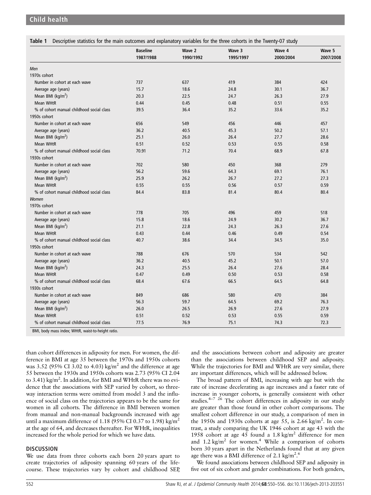Child health

|                                           | <b>Baseline</b><br>1987/1988 | Wave 2<br>1990/1992 | Wave 3<br>1995/1997 | Wave 4<br>2000/2004 | Wave 5<br>2007/2008 |
|-------------------------------------------|------------------------------|---------------------|---------------------|---------------------|---------------------|
|                                           |                              |                     |                     |                     |                     |
| Men                                       |                              |                     |                     |                     |                     |
| 1970s cohort                              |                              |                     |                     |                     |                     |
| Number in cohort at each wave             | 737                          | 637                 | 419                 | 384                 | 424                 |
| Average age (years)                       | 15.7                         | 18.6                | 24.8                | 30.1                | 36.7                |
| Mean BMI (kg/m <sup>2</sup> )             | 20.3                         | 22.5                | 24.7                | 26.3                | 27.9                |
| <b>Mean WHtR</b>                          | 0.44                         | 0.45                | 0.48                | 0.51                | 0.55                |
| % of cohort manual childhood social class | 39.5                         | 36.4                | 35.2                | 33.6                | 35.2                |
| 1950s cohort                              |                              |                     |                     |                     |                     |
| Number in cohort at each wave             | 656                          | 549                 | 456                 | 446                 | 457                 |
| Average age (years)                       | 36.2                         | 40.5                | 45.3                | 50.2                | 57.1                |
| Mean BMI ( $kg/m2$ )                      | 25.1                         | 26.0                | 26.4                | 27.7                | 28.6                |
| Mean WHtR                                 | 0.51                         | 0.52                | 0.53                | 0.55                | 0.58                |
| % of cohort manual childhood social class | 70.91                        | 71.2                | 70.4                | 68.9                | 67.8                |
| 1930s cohort                              |                              |                     |                     |                     |                     |
| Number in cohort at each wave             | 702                          | 580                 | 450                 | 368                 | 279                 |
| Average age (years)                       | 56.2                         | 59.6                | 64.3                | 69.1                | 76.1                |
| Mean BMI (kg/m <sup>2</sup> )             | 25.9                         | 26.2                | 26.7                | 27.2                | 27.3                |
| Mean WHtR                                 | 0.55                         | 0.55                | 0.56                | 0.57                | 0.59                |
| % of cohort manual childhood social class | 84.4                         | 83.8                | 81.4                | 80.4                | 80.4                |
| Women                                     |                              |                     |                     |                     |                     |
| 1970s cohort                              |                              |                     |                     |                     |                     |
| Number in cohort at each wave             | 778                          | 705                 | 496                 | 459                 | 518                 |
| Average age (years)                       | 15.8                         | 18.6                | 24.9                | 30.2                | 36.7                |
| Mean BMI ( $kg/m2$ )                      | 21.1                         | 22.8                | 24.3                | 26.3                | 27.6                |
| Mean WHtR                                 | 0.43                         | 0.44                | 0.46                | 0.49                | 0.54                |
| % of cohort manual childhood social class | 40.7                         | 38.6                | 34.4                | 34.5                | 35.0                |
| 1950s cohort                              |                              |                     |                     |                     |                     |
| Number in cohort at each wave             | 788                          | 676                 | 570                 | 534                 | 542                 |
| Average age (years)                       | 36.2                         | 40.5                | 45.2                | 50.1                | 57.0                |
| Mean BMI ( $kg/m2$ )                      | 24.3                         | 25.5                | 26.4                | 27.6                | 28.4                |
| <b>Mean WHtR</b>                          | 0.47                         | 0.49                | 0.50                | 0.53                | 0.58                |
| % of cohort manual childhood social class | 68.4                         | 67.6                | 66.5                | 64.5                | 64.8                |
| 1930s cohort                              |                              |                     |                     |                     |                     |
| Number in cohort at each wave             | 849                          | 686                 | 580                 | 470                 | 384                 |
| Average age (years)                       | 56.3                         | 59.7                | 64.5                | 69.2                | 76.3                |
| Mean BMI (kg/m <sup>2</sup> )             | 26.0                         | 26.5                | 26.9                | 27.6                | 27.9                |
| <b>Mean WHtR</b>                          | 0.51                         | 0.52                | 0.53                | 0.55                | 0.59                |
| % of cohort manual childhood social class | 77.5                         | 76.9                | 75.1                | 74.3                | 72.3                |

than cohort differences in adiposity for men. For women, the difference in BMI at age 35 between the 1970s and 1950s cohorts was 3.52 (95% CI 3.02 to 4.03) kg/m<sup>2</sup> and the difference at age 55 between the 1930s and 1950s cohorts was 2.73 (95% CI 2.04 to 3.41) kg/m<sup>2</sup>. In addition, for BMI and WHtR there was no evidence that the associations with SEP varied by cohort, so threeway interaction terms were omitted from model 3 and the influence of social class on the trajectories appears to be the same for women in all cohorts. The difference in BMI between women from manual and non-manual backgrounds increased with age until a maximum difference of 1.18 (95% CI 0.37 to 1.98) kg/m<sup>2</sup> at the age of 64, and decreases thereafter. For WHtR, inequalities increased for the whole period for which we have data.

#### **DISCUSSION**

We use data from three cohorts each born 20 years apart to create trajectories of adiposity spanning 60 years of the lifecourse. These trajectories vary by cohort and childhood SEP, and the associations between cohort and adiposity are greater than the associations between childhood SEP and adiposity. While the trajectories for BMI and WHtR are very similar, there are important differences, which will be addressed below.

The broad pattern of BMI, increasing with age but with the rate of increase decelerating as age increases and a faster rate of increase in younger cohorts, is generally consistent with other studies.<sup>4-7 26</sup> The cohort differences in adiposity in our study are greater than those found in other cohort comparisons. The smallest cohort difference in our study, a comparison of men in the 1950s and 1930s cohorts at age 55, is  $2.66 \text{ kg/m}^2$ . In contrast, a study comparing the UK 1946 cohort at age 43 with the 1958 cohort at age 45 found a 1.8 kg/m2 difference for men and  $1.2 \text{ kg/m}^2$  for women.<sup>4</sup> While a comparison of cohorts born 30 years apart in the Netherlands found that at any given age there was a BMI difference of 2.1 kg/m<sup>2</sup>.<sup>6</sup>

We found associations between childhood SEP and adiposity in five out of six cohort and gender combinations. For both genders,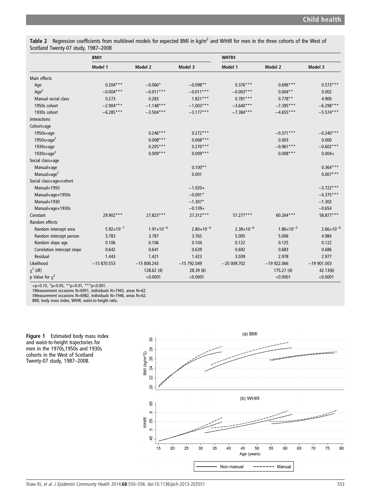Table 2 Regression coefficients from multilevel models for expected BMI in  $\text{kg/m}^2$  and WHtR for men in the three cohorts of the West of Scotland Twenty-07 study, 1987–2008

|                                 | <b>BMIt</b>         |                       |                     | WHTR#                 |                     |                       |
|---------------------------------|---------------------|-----------------------|---------------------|-----------------------|---------------------|-----------------------|
|                                 | Model 1             | Model 2               | Model 3             | Model 1               | Model 2             | Model 3               |
| Main effects                    |                     |                       |                     |                       |                     |                       |
| Age                             | $0.204***$          | $-0.066*$             | $-0.098**$          | $0.376***$            | $0.696***$          | $0.573***$            |
| Age <sup>2</sup>                | $-0.004***$         | $-0.011***$           | $-0.011***$         | $-0.003***$           | $0.004**$           | 0.002                 |
| Manual social class             | 0.273               | 0.283                 | $1.821***$          | $0.781***$            | $0.778**$           | 4.900                 |
| 1950s cohort                    | $-2.904***$         | $-1.148***$           | $-1.003***$         | $-3.640***$           | $-7.395***$         | $-6.298***$           |
| 1930s cohort                    | $-6.285***$         | $-3.504***$           | $-3.177***$         | $-7.384***$           | $-4.655***$         | $-5.574***$           |
| <b>Interactions</b>             |                     |                       |                     |                       |                     |                       |
| Cohortxage                      |                     |                       |                     |                       |                     |                       |
| 1950sxage                       |                     | $0.246***$            | $0.272***$          |                       | $-0.371***$         | $-0.240***$           |
| 1950s $\times$ age <sup>2</sup> |                     | $0.008***$            | $0.008***$          |                       | 0.003               | 0.000                 |
| 1930sxage                       |                     | $0.205***$            | $0.270***$          |                       | $-0.961***$         | $-0.602***$           |
| 1930s $\times$ age <sup>2</sup> |                     | $0.009***$            | $0.009***$          |                       | $0.008***$          | $0.004 +$             |
| Social classxage                |                     |                       |                     |                       |                     |                       |
| Manualxage                      |                     |                       | $0.100**$           |                       |                     | $0.364***$            |
| Manual×age <sup>2</sup>         |                     |                       | 0.001               |                       |                     | $0.007***$            |
| Social class×age×cohort         |                     |                       |                     |                       |                     |                       |
| Manual×1950                     |                     |                       | $-1.020+$           |                       |                     | $-3.722***$           |
| Manualxagex1950s                |                     |                       | $-0.091*$           |                       |                     | $-0.375***$           |
| Manual×1930                     |                     |                       | $-1.307*$           |                       |                     | $-1.302$              |
| Manualxagex1930s                |                     |                       | $-0.139+$           |                       |                     | $-0.654$              |
| Constant                        | 29.902***           | 27.823***             | 27.312***           | 57.277***             | 60.264***           | 58.877***             |
| Random effects                  |                     |                       |                     |                       |                     |                       |
| Random intercept area           | $5.92\times10^{-7}$ | $1.91 \times 10^{-6}$ | $2.80\times10^{-6}$ | $2.38 \times 10^{-6}$ | $1.86\times10^{-5}$ | $2.66 \times 10^{-6}$ |
| Random intercept person         | 3.783               | 3.787                 | 3.765               | 5.005                 | 5.006               | 4.984                 |
| Random slope age                | 0.106               | 0.106                 | 0.104               | 0.122                 | 0.125               | 0.122                 |
| Correlation intercept slope     | 0.642               | 0.641                 | 0.639               | 0.692                 | 0.683               | 0.686                 |
| Residual                        | 1.443               | 1.421                 | 1.423               | 3.039                 | 2.978               | 2.977                 |
| Likelihood                      | $-15870.553$        | $-15806.243$          | $-15792.049$        | $-20009.702$          | $-19922.066$        | $-19901.003$          |
| $\chi^2$ (df)                   |                     | 128.62 (4)            | 28.39 (6)           |                       | 175.27(4)           | 42.13(6)              |
| p Value for $\chi^2$            |                     | < 0.0001              | < 0.0001            |                       | < 0.0001            | < 0.0001              |

+p<0.10, \*p<0.05, \*\*p<0.01, \*\*\*p<0.001. †Measurement occasions N=6951, individuals N=1943, areas N=62.

‡Measurement occasions N=6982, individuals N=1946, areas N=62.

BMI, body mass index, WHtR, waist-to-height ratio.



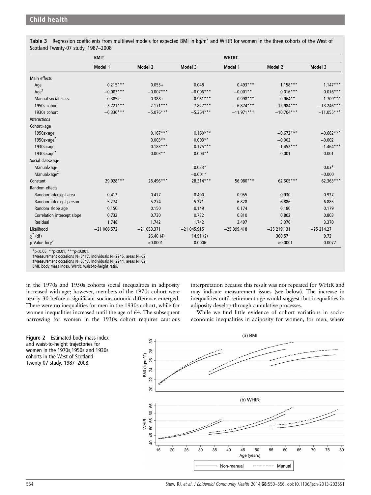Table 3 Regression coefficients from multilevel models for expected BMI in kg/m<sup>2</sup> and WHtR for women in the three cohorts of the West of Scotland Twenty-07 study, 1987–2008

|                                   | <b>BMIt</b>  |              |              | WHTR#        |              |              |
|-----------------------------------|--------------|--------------|--------------|--------------|--------------|--------------|
|                                   | Model 1      | Model 2      | Model 3      | Model 1      | Model 2      | Model 3      |
| Main effects                      |              |              |              |              |              |              |
| Age                               | $0.215***$   | $0.055+$     | 0.048        | $0.493***$   | $1.158***$   | $1.147***$   |
| Age <sup>2</sup>                  | $-0.003***$  | $-0.007***$  | $-0.006***$  | $-0.001**$   | $0.016***$   | $0.016***$   |
| Manual social class               | $0.385+$     | $0.388 +$    | $0.961***$   | $0.998***$   | $0.964**$    | $1.709***$   |
| 1950s cohort                      | $-3.721***$  | $-2.171***$  | $-7.827***$  | $-6.874***$  | $-12.984***$ | $-13.246***$ |
| 1930s cohort                      | $-6.336***$  | $-5.076***$  | $-5.364***$  | $-11.971***$ | $-10.704***$ | $-11.055***$ |
| <i><u><b>Interactions</b></u></i> |              |              |              |              |              |              |
| Cohortxage                        |              |              |              |              |              |              |
| $1950$ s $\times$ age             |              | $0.167***$   | $0.160***$   |              | $-0.672***$  | $-0.682***$  |
| 1950s $\times$ age <sup>2</sup>   |              | $0.003**$    | $0.003**$    |              | $-0.002$     | $-0.002$     |
| $1930$ s $\times$ age             |              | $0.183***$   | $0.175***$   |              | $-1.452***$  | $-1.464***$  |
| 1930s $\times$ age <sup>2</sup>   |              | $0.003**$    | $0.004**$    |              | 0.001        | 0.001        |
| Social classxage                  |              |              |              |              |              |              |
| Manualxage                        |              |              | $0.023*$     |              |              | $0.03*$      |
| Manual $\times$ age <sup>2</sup>  |              |              | $-0.001*$    |              |              | $-0.000$     |
| Constant                          | 29.928***    | 28.496***    | 28.314***    | 56.980***    | 62.605***    | 62.363***    |
| Random effects                    |              |              |              |              |              |              |
| Random intercept area             | 0.413        | 0.417        | 0.400        | 0.955        | 0.930        | 0.927        |
| Random intercept person           | 5.274        | 5.274        | 5.271        | 6.828        | 6.886        | 6.885        |
| Random slope age                  | 0.150        | 0.150        | 0.149        | 0.174        | 0.180        | 0.179        |
| Correlation intercept slope       | 0.732        | 0.730        | 0.732        | 0.810        | 0.802        | 0.803        |
| Residual                          | 1.748        | 1.742        | 1.742        | 3.497        | 3.370        | 3.370        |
| Likelihood                        | $-21066.572$ | $-21053.371$ | $-21045.915$ | $-25399.418$ | $-25219.131$ | $-25214.27$  |
| $\chi^2$ (df)                     |              | 26.40(4)     | 14.91(2)     |              | 360.57       | 9.72         |
| p Value for $\chi^2$              |              | < 0.0001     | 0.0006       |              | < 0.0001     | 0.0077       |

 $*p<0.05$ ,  $*p<0.01$ ,  $**p<0.001$ .

†Measurement occasions N=8417, individuals N=2245, areas N=62.

‡Measurement occasions N=8347, individuals N=2244, areas N=62.

BMI, body mass index, WHtR, waist-to-height ratio.

in the 1970s and 1950s cohorts social inequalities in adiposity increased with age; however, members of the 1970s cohort were nearly 30 before a significant socioeconomic difference emerged. There were no inequalities for men in the 1930s cohort, while for women inequalities increased until the age of 64. The subsequent narrowing for women in the 1930s cohort requires cautious



interpretation because this result was not repeated for WHtR and may indicate measurement issues (see below). The increase in inequalities until retirement age would suggest that inequalities in adiposity develop through cumulative processes.

While we find little evidence of cohort variations in socioeconomic inequalities in adiposity for women, for men, where

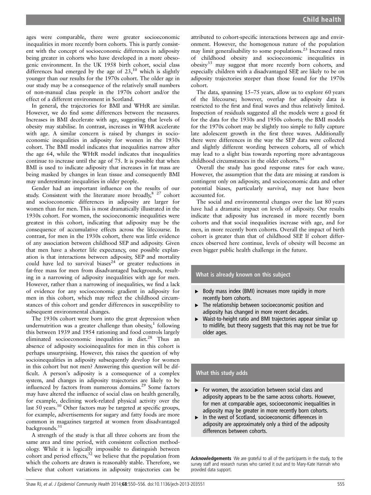ages were comparable, there were greater socioeconomic inequalities in more recently born cohorts. This is partly consistent with the concept of socioeconomic differences in adiposity being greater in cohorts who have developed in a more obesogenic environment. In the UK 1958 birth cohort, social class differences had emerged by the age of  $23$ ,<sup>10</sup> which is slightly younger than our results for the 1970s cohort. The older age in our study may be a consequence of the relatively small numbers of non-manual class people in the 1970s cohort and/or the effect of a different environment in Scotland.

In general, the trajectories for BMI and WHtR are similar. However, we do find some differences between the measures. Increases in BMI decelerate with age, suggesting that levels of obesity may stabilise. In contrast, increases in WHtR accelerate with age. A similar concern is raised by changes in socioeconomic inequalities in adiposity for women in the 1930s cohort. The BMI model indicates that inequalities narrow after the age 64, while the WHtR model indicates that inequalities continue to increase until the age of 75. It is possible that when BMI is used to indicate adiposity that increases in fat mass are being masked by changes in lean tissue and consequently BMI may underestimate inequalities in older people.

Gender had an important influence on the results of our study. Consistent with the literature more broadly, <sup>8 27</sup> cohort and socioeconomic differences in adiposity are larger for women than for men. This is most dramatically illustrated in the 1930s cohort. For women, the socioeconomic inequalities were greatest in this cohort, indicating that adiposity may be the consequence of accumulative effects across the lifecourse. In contrast, for men in the 1930s cohort, there was little evidence of any association between childhood SEP and adiposity. Given that men have a shorter life expectancy, one possible explanation is that interactions between adiposity, SEP and mortality could have led to survival biases<sup>24</sup> or greater reductions in fat-free mass for men from disadvantaged backgrounds, resulting in a narrowing of adiposity inequalities with age for men. However, rather than a narrowing of inequalities, we find a lack of evidence for any socioeconomic gradient in adiposity for men in this cohort, which may reflect the childhood circumstances of this cohort and gender differences in susceptibility to subsequent environmental changes.

The 1930s cohort were born into the great depression when undernutrition was a greater challenge than obesity,<sup>1</sup> following this between 1939 and 1954 rationing and food controls largely eliminated socioeconomic inequalities in diet.<sup>28</sup> Thus an absence of adiposity socioinequalites for men in this cohort is perhaps unsurprising. However, this raises the question of why socioinequalities in adiposity subsequently develop for women in this cohort but not men? Answering this question will be difficult. A person's adiposity is a consequence of a complex system, and changes in adiposity trajectories are likely to be influenced by factors from numerous domains.<sup>29</sup> Some factors may have altered the influence of social class on health generally, for example, declining work-related physical activity over the last 50 years.<sup>30</sup> Other factors may be targeted at specific groups, for example, advertisements for sugary and fatty foods are more common in magazines targeted at women from disadvantaged backgrounds.<sup>31</sup>

A strength of the study is that all three cohorts are from the same area and time period, with consistent collection methodology. While it is logically impossible to distinguish between cohort and period effects, $3^2$  we believe that the population from which the cohorts are drawn is reasonably stable. Therefore, we believe that cohort variations in adiposity trajectories can be

attributed to cohort-specific interactions between age and environment. However, the homogenous nature of the population may limit generalisability to some populations.<sup>23</sup> Increased rates of childhood obesity and socioeconomic inequalities in obesity<sup>33</sup> may suggest that more recently born cohorts, and especially children with a disadvantaged SEP, are likely to be on adiposity trajectories steeper than those found for the 1970s cohort.

The data, spanning 15–75 years, allow us to explore 60 years of the lifecourse; however, overlap for adiposity data is restricted to the first and final waves and thus relatively limited. Inspection of residuals suggested all the models were a good fit for the data for the 1930s and 1950s cohorts; the BMI models for the 1970s cohort may be slightly too simple to fully capture late adolescent growth in the first three waves. Additionally there were differences in the way the SEP data were collected and slightly different wording between cohorts, all of which may lead to a slight bias towards reporting more advantageous childhood circumstances in the older cohorts.<sup>34</sup>

Overall the study has good response rates for each wave. However, the assumption that the data are missing at random is contingent only on adiposity, and socioeconomic data and other potential biases, particularly survival, may not have been accounted for.

The social and environmental changes over the last 80 years have had a dramatic impact on levels of adiposity. Our results indicate that adiposity has increased in more recently born cohorts and that social inequalities increase with age, and for men, in more recently born cohorts. Overall the impact of birth cohort is greater than that of childhood SEP. If cohort differences observed here continue, levels of obesity will become an even bigger public health challenge in the future.

#### What is already known on this subject

- Body mass index (BMI) increases more rapidly in more recently born cohorts.
- The relationship between socioeconomic position and adiposity has changed in more recent decades.
- ▸ Waist-to-height ratio and BMI trajectories appear similar up to midlife, but theory suggests that this may not be true for older ages.

#### What this study adds

- ▶ For women, the association between social class and adiposity appears to be the same across cohorts. However, for men at comparable ages, socioeconomic inequalities in adiposity may be greater in more recently born cohorts.
- ▸ In the west of Scotland, socioeconomic differences in adiposity are approximately only a third of the adiposity differences between cohorts.

Acknowledgements We are grateful to all of the participants in the study, to the survey staff and research nurses who carried it out and to Mary-Kate Hannah who provided data support.